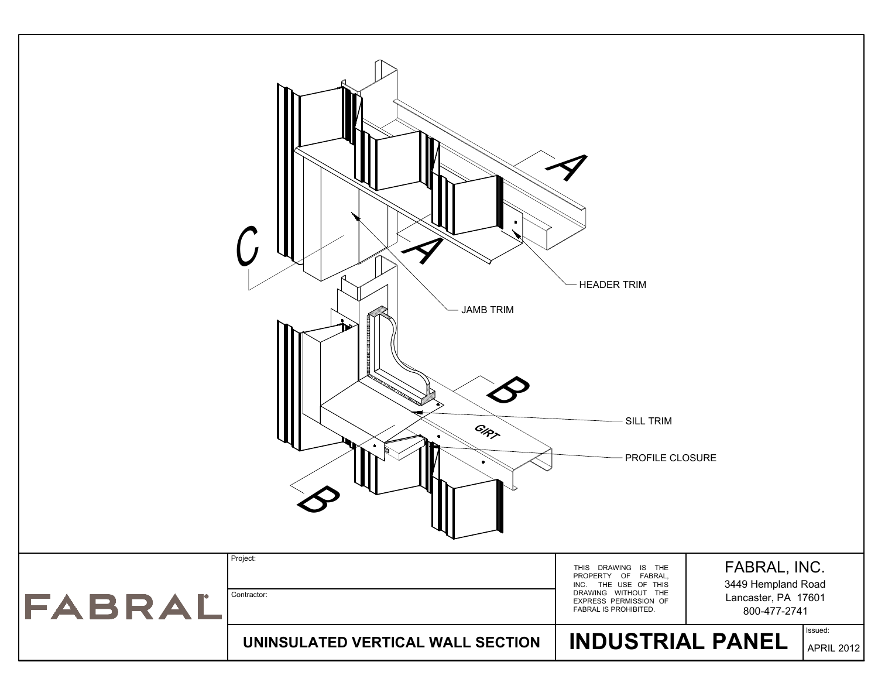|        | e<br><b>JAMB TRIM</b><br>GIRT<br>Project: | $\boldsymbol{\gamma}$<br><b>HEADER TRIM</b><br><b>SILL TRIM</b><br>PROFILE CLOSURE                                                          |                                                                           |                       |
|--------|-------------------------------------------|---------------------------------------------------------------------------------------------------------------------------------------------|---------------------------------------------------------------------------|-----------------------|
| FABRAL | Contractor:                               | THIS DRAWING IS THE<br>PROPERTY OF FABRAL,<br>INC. THE USE OF THIS<br>DRAWING WITHOUT THE<br>EXPRESS PERMISSION OF<br>FABRAL IS PROHIBITED. | FABRAL, INC.<br>3449 Hempland Road<br>Lancaster, PA 17601<br>800-477-2741 |                       |
|        | UNINSULATED VERTICAL WALL SECTION         | <b>INDUSTRIAL PANEL</b>                                                                                                                     |                                                                           | Issued:<br>APRIL 2012 |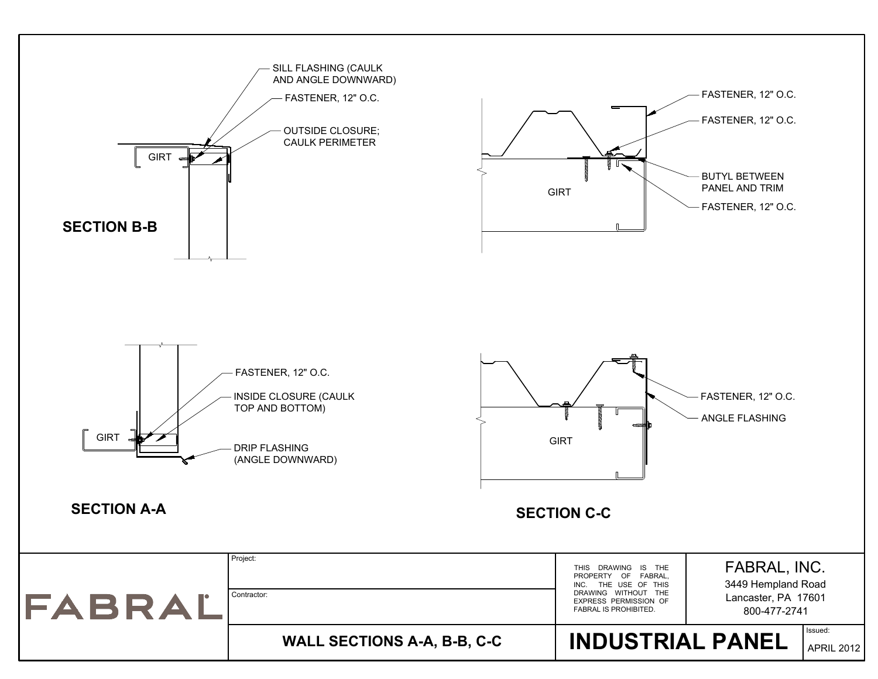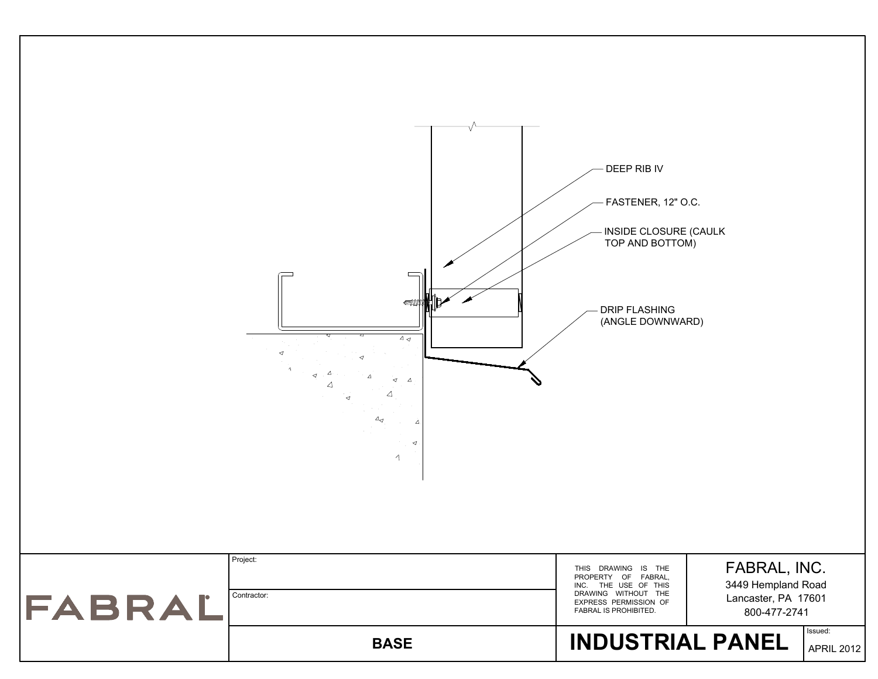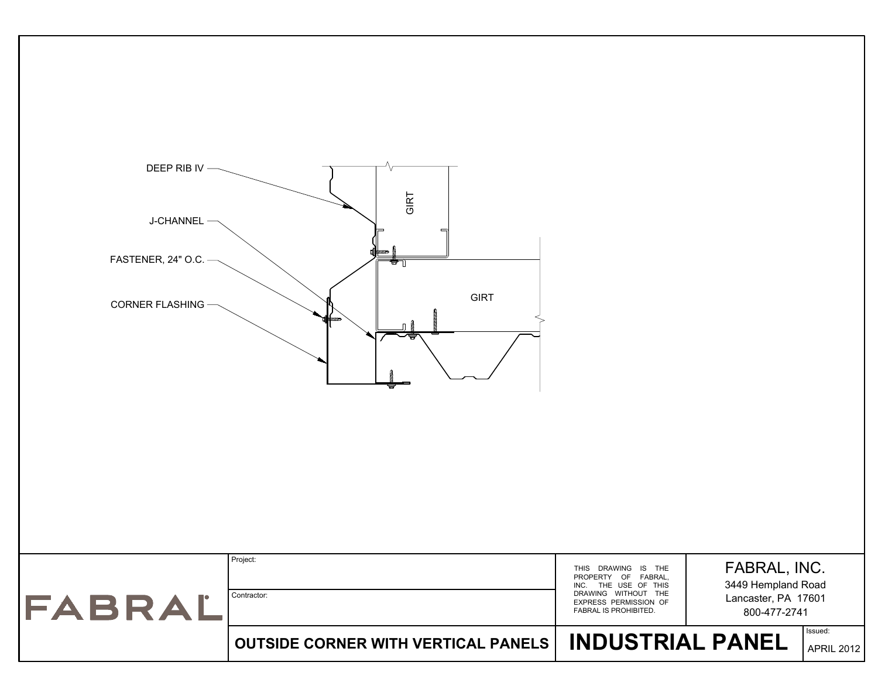| Project:<br>THIS DRAWING IS THE<br>PROPERTY OF FABRAL,<br>INC. THE USE OF THIS<br>DRAWING WITHOUT THE<br>Contractor:<br>FABRAL<br>EXPRESS PERMISSION OF<br>FABRAL IS PROHIBITED. | FABRAL, INC.<br>3449 Hempland Road<br>Lancaster, PA 17601<br>800-477-2741<br>Issued: |                   |
|----------------------------------------------------------------------------------------------------------------------------------------------------------------------------------|--------------------------------------------------------------------------------------|-------------------|
| <b>INDUSTRIAL PANEL</b><br><b>OUTSIDE CORNER WITH VERTICAL PANELS</b>                                                                                                            |                                                                                      | <b>APRIL 2012</b> |

GIRT

7

GIRT

GIRT

 $\mathbb{R}^2$ 

DEEP RIB IV<br>J-CHANNEL<br>FASTENER, 24" O.C.<br>CORNER FLASHING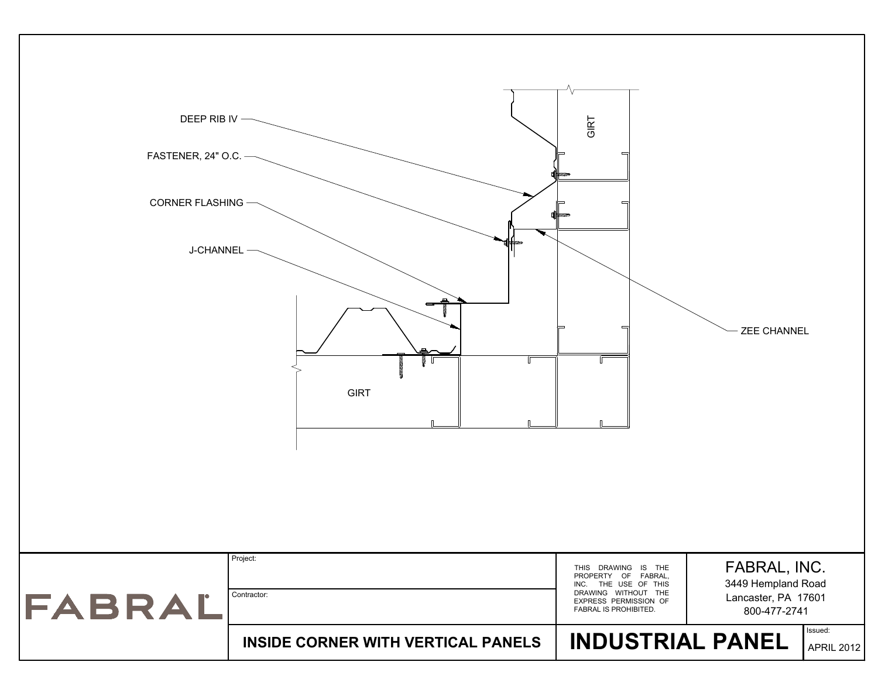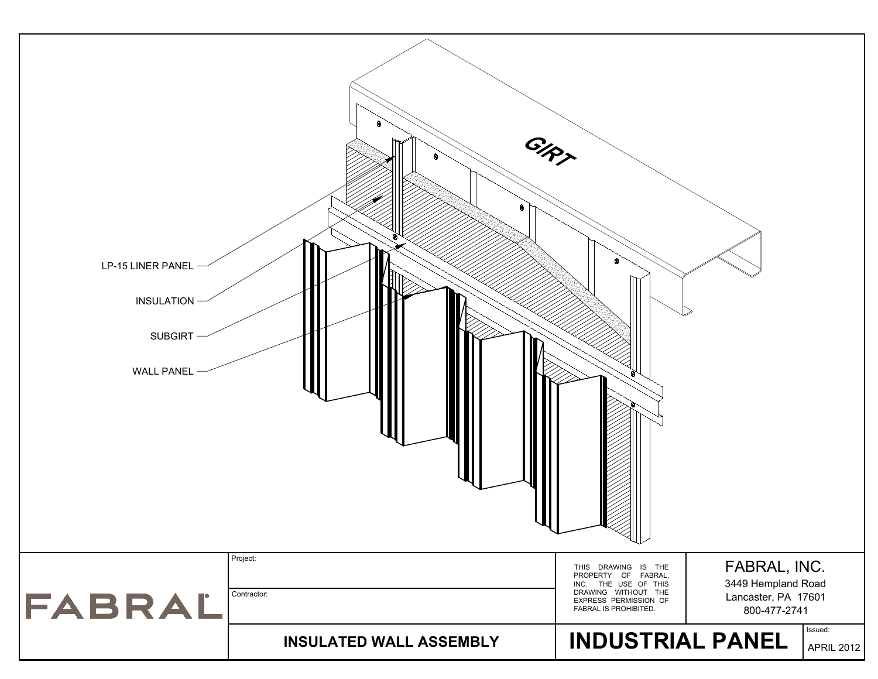